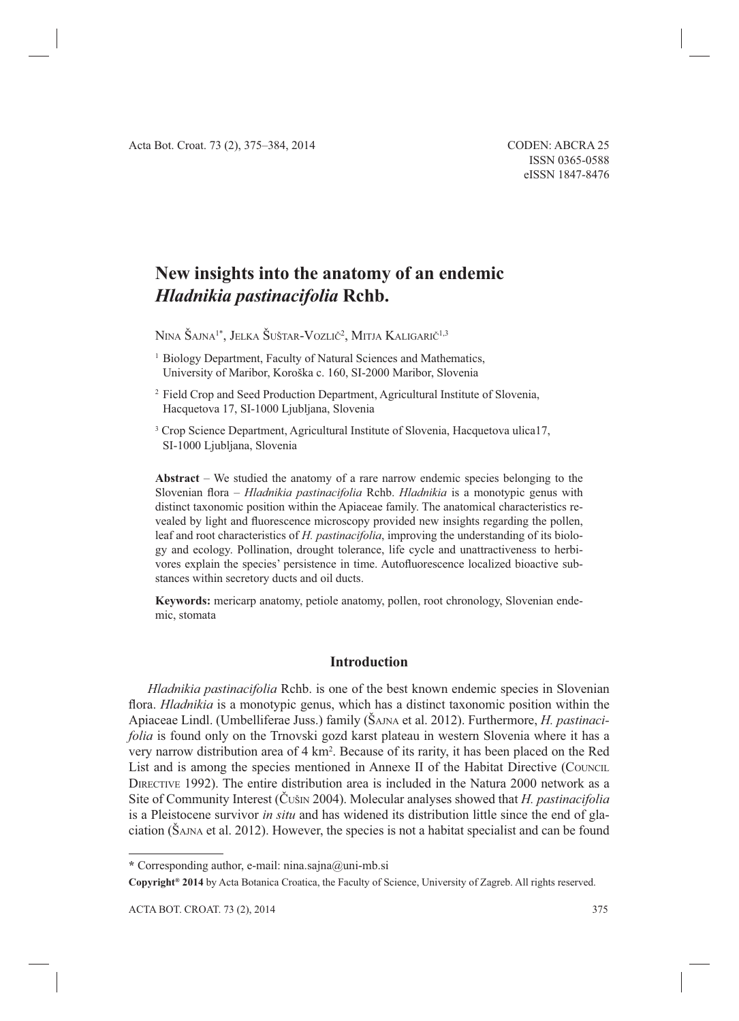# **New insights into the anatomy of an endemic**  *Hladnikia pastinacifolia* **Rchb.**

Nina Šajna<sup>1\*</sup>, Jelka Šuštar-Vozlič<sup>2</sup>, Mitja Kaligarič<sup>1,3</sup>

- <sup>1</sup> Biology Department, Faculty of Natural Sciences and Mathematics, University of Maribor, Koroška c. 160, SI-2000 Maribor, Slovenia
- <sup>2</sup> Field Crop and Seed Production Department, Agricultural Institute of Slovenia, Hacquetova 17, SI-1000 Ljubljana, Slovenia
- <sup>3</sup> Crop Science Department, Agricultural Institute of Slovenia, Hacquetova ulica17, SI-1000 Ljubljana, Slovenia

**Abstract** – We studied the anatomy of a rare narrow endemic species belonging to the Slovenian flora – *Hladnikia pastinacifolia* Rchb. *Hladnikia* is a monotypic genus with distinct taxonomic position within the Apiaceae family. The anatomical characteristics revealed by light and fluorescence microscopy provided new insights regarding the pollen, leaf and root characteristics of *H. pastinacifolia*, improving the understanding of its biology and ecology. Pollination, drought tolerance, life cycle and unattractiveness to herbivores explain the species' persistence in time. Autofluorescence localized bioactive substances within secretory ducts and oil ducts.

**Keywords:** mericarp anatomy, petiole anatomy, pollen, root chronology, Slovenian endemic, stomata

## **Introduction**

*Hladnikia pastinacifolia* Rchb. is one of the best known endemic species in Slovenian flora. *Hladnikia* is a monotypic genus, which has a distinct taxonomic position within the Apiaceae Lindl. (Umbelliferae Juss.) family (ŠAJNA et al. 2012). Furthermore, *H. pastinacifolia* is found only on the Trnovski gozd karst plateau in western Slovenia where it has a very narrow distribution area of 4 km<sup>2</sup>. Because of its rarity, it has been placed on the Red List and is among the species mentioned in Annexe II of the Habitat Directive (COUNCIL DIRECTIVE 1992). The entire distribution area is included in the Natura 2000 network as a Site of Community Interest (ČUŠIN 2004). Molecular analyses showed that *H. pastinacifolia* is a Pleistocene survivor *in situ* and has widened its distribution little since the end of glaciation (ŠAJNA et al. 2012). However, the species is not a habitat specialist and can be found

**<sup>\*</sup>** Corresponding author, e-mail: nina.sajna@uni-mb.si

**Copyright® 2014** by Acta Botanica Croatica, the Faculty of Science, University of Zagreb. All rights reserved.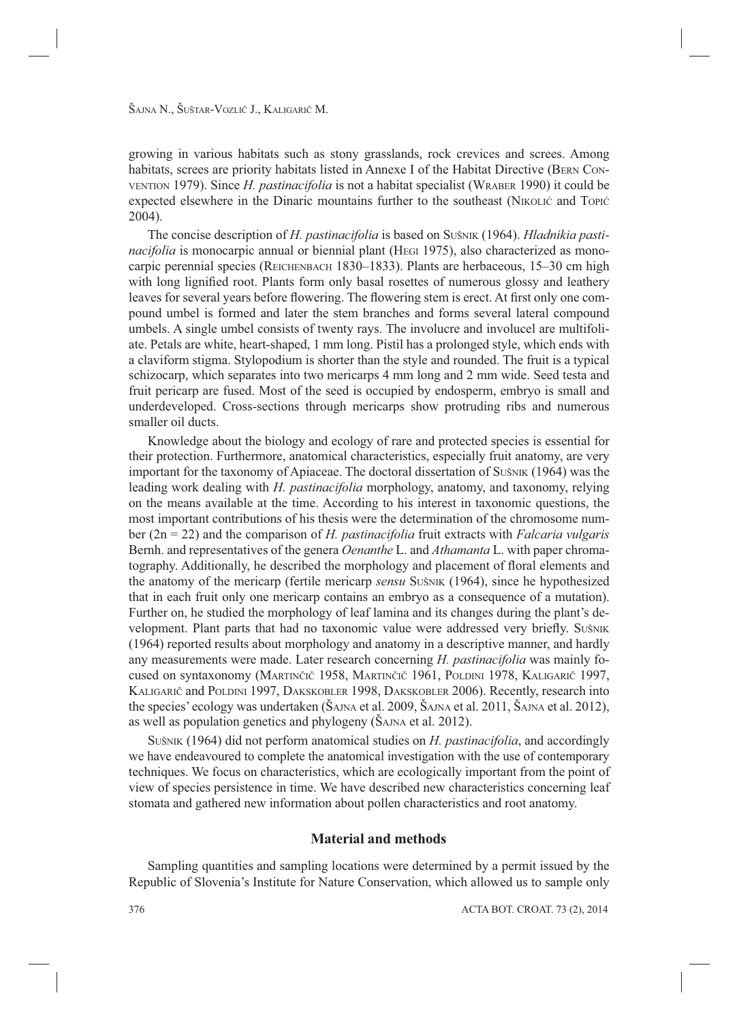growing in various habitats such as stony grasslands, rock crevices and screes. Among habitats, screes are priority habitats listed in Annexe I of the Habitat Directive (BERN CON-VENTION 1979). Since *H. pastinacifolia* is not a habitat specialist (WRABER 1990) it could be expected elsewhere in the Dinaric mountains further to the southeast (NIKOLIĆ and TOPIĆ 2004).

The concise description of *H. pastinacifolia* is based on SUŠNIK (1964). *Hladnikia pastinacifolia* is monocarpic annual or biennial plant (HEGI 1975), also characterized as monocarpic perennial species (REICHENBACH 1830–1833). Plants are herbaceous, 15–30 cm high with long lignified root. Plants form only basal rosettes of numerous glossy and leathery leaves for several years before flowering. The flowering stem is erect. At first only one compound umbel is formed and later the stem branches and forms several lateral compound umbels. A single umbel consists of twenty rays. The involucre and involucel are multifoliate. Petals are white, heart-shaped, 1 mm long. Pistil has a prolonged style, which ends with a claviform stigma. Stylopodium is shorter than the style and rounded. The fruit is a typical schizocarp, which separates into two mericarps 4 mm long and 2 mm wide. Seed testa and fruit pericarp are fused. Most of the seed is occupied by endosperm, embryo is small and underdeveloped. Cross-sections through mericarps show protruding ribs and numerous smaller oil ducts.

Knowledge about the biology and ecology of rare and protected species is essential for their protection. Furthermore, anatomical characteristics, especially fruit anatomy, are very important for the taxonomy of Apiaceae. The doctoral dissertation of SUŠNIK (1964) was the leading work dealing with *H. pastinacifolia* morphology, anatomy, and taxonomy, relying on the means available at the time. According to his interest in taxonomic questions, the most important contributions of his thesis were the determination of the chromosome number (2n = 22) and the comparison of *H. pastinacifolia* fruit extracts with *Falcaria vulgaris* Bernh. and representatives of the genera *Oenanthe* L. and *Athamanta* L. with paper chromatography. Additionally, he described the morphology and placement of floral elements and the anatomy of the mericarp (fertile mericarp *sensu* SUŠNIK (1964), since he hypothesized that in each fruit only one mericarp contains an embryo as a consequence of a mutation). Further on, he studied the morphology of leaf lamina and its changes during the plant's development. Plant parts that had no taxonomic value were addressed very briefly. SUŠNIK (1964) reported results about morphology and anatomy in a descriptive manner, and hardly any measurements were made. Later research concerning *H. pastinacifolia* was mainly focused on syntaxonomy (MARTINČIČ 1958, MARTINČIČ 1961, POLDINI 1978, KALIGARIČ 1997, KALIGARIČ and POLDINI 1997, DAKSKOBLER 1998, DAKSKOBLER 2006). Recently, research into the species' ecology was undertaken (ŠAJNA et al. 2009, ŠAJNA et al. 2011, ŠAJNA et al. 2012), as well as population genetics and phylogeny (ŠAJNA et al. 2012).

SUŠNIK (1964) did not perform anatomical studies on *H. pastinacifolia*, and accordingly we have endeavoured to complete the anatomical investigation with the use of contemporary techniques. We focus on characteristics, which are ecologically important from the point of view of species persistence in time. We have described new characteristics concerning leaf stomata and gathered new information about pollen characteristics and root anatomy.

# **Material and methods**

Sampling quantities and sampling locations were determined by a permit issued by the Republic of Slovenia's Institute for Nature Conservation, which allowed us to sample only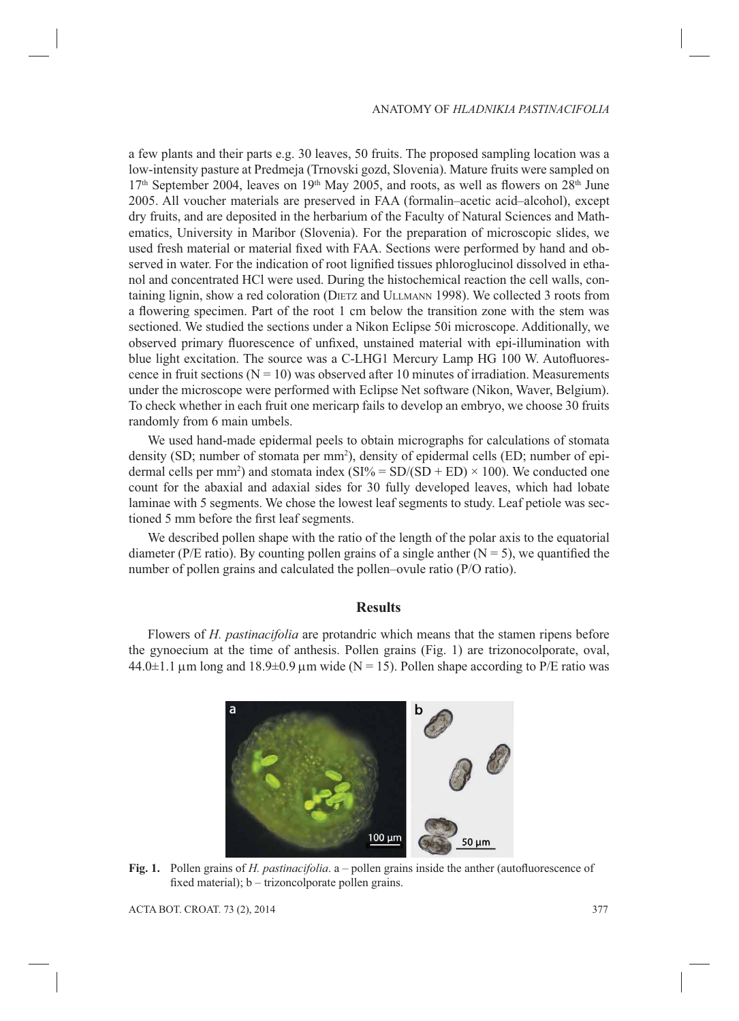a few plants and their parts e.g. 30 leaves, 50 fruits. The proposed sampling location was a low-intensity pasture at Predmeja (Trnovski gozd, Slovenia). Mature fruits were sampled on  $17<sup>th</sup>$  September 2004, leaves on  $19<sup>th</sup>$  May 2005, and roots, as well as flowers on  $28<sup>th</sup>$  June 2005. All voucher materials are preserved in FAA (formalin–acetic acid–alcohol), except dry fruits, and are deposited in the herbarium of the Faculty of Natural Sciences and Mathematics, University in Maribor (Slovenia). For the preparation of microscopic slides, we used fresh material or material fixed with FAA. Sections were performed by hand and observed in water. For the indication of root lignified tissues phloroglucinol dissolved in ethanol and concentrated HCl were used. During the histochemical reaction the cell walls, containing lignin, show a red coloration (DIETZ and ULLMANN 1998). We collected 3 roots from a flowering specimen. Part of the root 1 cm below the transition zone with the stem was sectioned. We studied the sections under a Nikon Eclipse 50i microscope. Additionally, we observed primary fluorescence of unfixed, unstained material with epi-illumination with blue light excitation. The source was a C-LHG1 Mercury Lamp  $HG$  100 W. Autofluorescence in fruit sections ( $N = 10$ ) was observed after 10 minutes of irradiation. Measurements under the microscope were performed with Eclipse Net software (Nikon, Waver, Belgium). To check whether in each fruit one mericarp fails to develop an embryo, we choose 30 fruits randomly from 6 main umbels.

We used hand-made epidermal peels to obtain micrographs for calculations of stomata density (SD; number of stomata per mm<sup>2</sup>), density of epidermal cells (ED; number of epidermal cells per mm<sup>2</sup>) and stomata index  $(SI% = SD/(SD + ED) \times 100)$ . We conducted one count for the abaxial and adaxial sides for 30 fully developed leaves, which had lobate laminae with 5 segments. We chose the lowest leaf segments to study. Leaf petiole was sectioned 5 mm before the first leaf segments.

We described pollen shape with the ratio of the length of the polar axis to the equatorial diameter (P/E ratio). By counting pollen grains of a single anther ( $N = 5$ ), we quantified the number of pollen grains and calculated the pollen–ovule ratio (P/O ratio).

## **Results**

Flowers of *H. pastinacifolia* are protandric which means that the stamen ripens before the gynoecium at the time of anthesis. Pollen grains (Fig. 1) are trizonocolporate, oval,  $44.0 \pm 1.1 \,\mu$ m long and  $18.9 \pm 0.9 \,\mu$ m wide (N = 15). Pollen shape according to P/E ratio was



**Fig. 1.** Pollen grains of *H. pastinacifolia*. a – pollen grains inside the anther (autofluorescence of fixed material);  $b - trizon colporate pollen grains$ .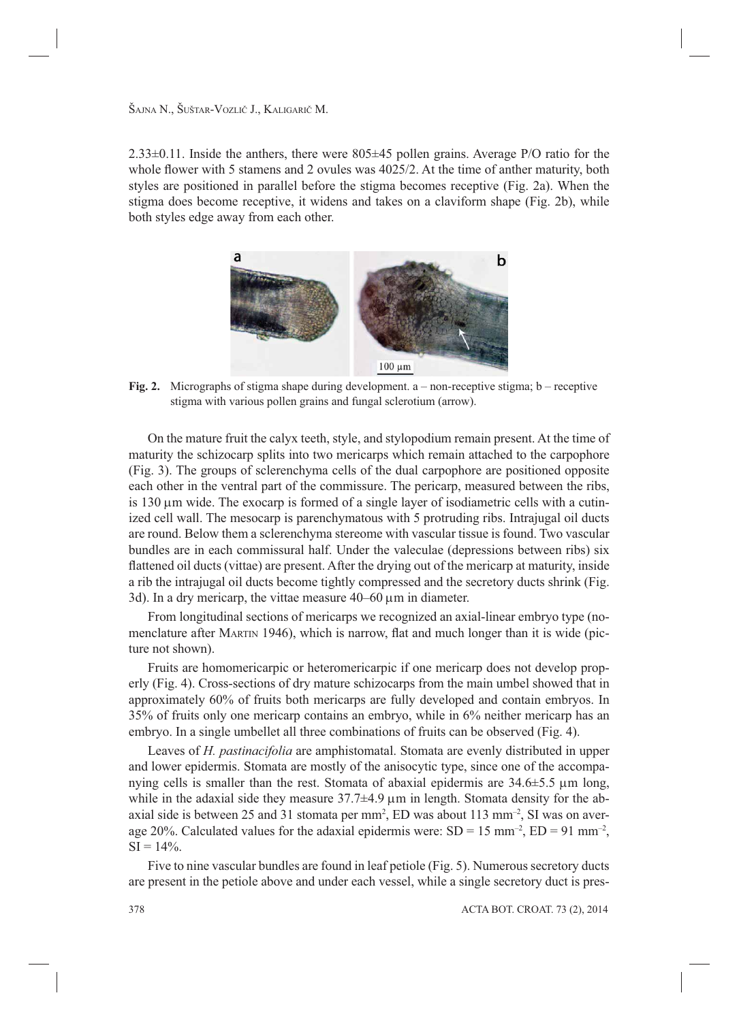$2.33\pm0.11$ . Inside the anthers, there were  $805\pm45$  pollen grains. Average P/O ratio for the whole flower with 5 stamens and 2 ovules was  $4025/2$ . At the time of anther maturity, both styles are positioned in parallel before the stigma becomes receptive (Fig. 2a). When the stigma does become receptive, it widens and takes on a claviform shape (Fig. 2b), while both styles edge away from each other.



**Fig. 2.** Micrographs of stigma shape during development. a – non-receptive stigma; b – receptive stigma with various pollen grains and fungal sclerotium (arrow).

On the mature fruit the calyx teeth, style, and stylopodium remain present. At the time of maturity the schizocarp splits into two mericarps which remain attached to the carpophore (Fig. 3). The groups of sclerenchyma cells of the dual carpophore are positioned opposite each other in the ventral part of the commissure. The pericarp, measured between the ribs, is 130  $\mu$ m wide. The exocarp is formed of a single layer of isodiametric cells with a cutinized cell wall. The mesocarp is parenchymatous with 5 protruding ribs. Intrajugal oil ducts are round. Below them a sclerenchyma stereome with vascular tissue is found. Two vascular bundles are in each commissural half. Under the valeculae (depressions between ribs) six flattened oil ducts (vittae) are present. After the drying out of the mericarp at maturity, inside a rib the intrajugal oil ducts become tightly compressed and the secretory ducts shrink (Fig. 3d). In a dry mericarp, the vittae measure  $40-60 \mu m$  in diameter.

From longitudinal sections of mericarps we recognized an axial-linear embryo type (nomenclature after MARTIN 1946), which is narrow, flat and much longer than it is wide (picture not shown).

Fruits are homomericarpic or heteromericarpic if one mericarp does not develop properly (Fig. 4). Cross-sections of dry mature schizocarps from the main umbel showed that in approximately 60% of fruits both mericarps are fully developed and contain embryos. In 35% of fruits only one mericarp contains an embryo, while in 6% neither mericarp has an embryo. In a single umbellet all three combinations of fruits can be observed (Fig. 4).

Leaves of *H. pastinacifolia* are amphistomatal. Stomata are evenly distributed in upper and lower epidermis. Stomata are mostly of the anisocytic type, since one of the accompanying cells is smaller than the rest. Stomata of abaxial epidermis are  $34.6\pm5.5 \mu m$  long, while in the adaxial side they measure  $37.7\pm4.9$   $\mu$ m in length. Stomata density for the abaxial side is between 25 and 31 stomata per mm2 , ED was about 113 mm–2, SI was on average 20%. Calculated values for the adaxial epidermis were:  $SD = 15$  mm<sup>-2</sup>,  $ED = 91$  mm<sup>-2</sup>,  $SI = 14\%$ .

Five to nine vascular bundles are found in leaf petiole (Fig. 5). Numerous secretory ducts are present in the petiole above and under each vessel, while a single secretory duct is pres-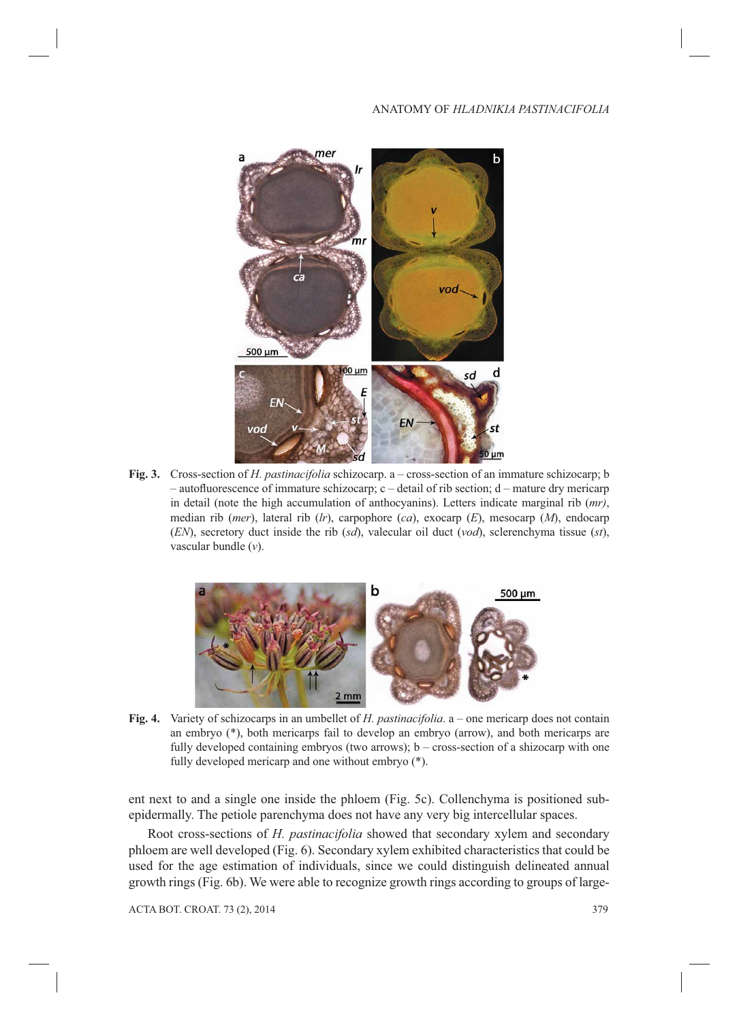

**Fig. 3.** Cross-section of *H. pastinacifolia* schizocarp. a – cross-section of an immature schizocarp; b  $-$  autofluorescence of immature schizocarp; c  $-$  detail of rib section; d  $-$  mature dry mericarp in detail (note the high accumulation of anthocyanins). Letters indicate marginal rib (*mr)*, median rib (*mer*), lateral rib (*lr*), carpophore (*ca*), exocarp (*E*), mesocarp (*M*), endocarp (*EN*), secretory duct inside the rib (*sd*), valecular oil duct (*vod*), sclerenchyma tissue (*st*), vascular bundle (*v*).



**Fig. 4.** Variety of schizocarps in an umbellet of *H. pastinacifolia*. a – one mericarp does not contain an embryo (\*), both mericarps fail to develop an embryo (arrow), and both mericarps are fully developed containing embryos (two arrows); b – cross-section of a shizocarp with one fully developed mericarp and one without embryo (\*).

ent next to and a single one inside the phloem (Fig. 5c). Collenchyma is positioned subepidermally. The petiole parenchyma does not have any very big intercellular spaces.

Root cross-sections of *H. pastinacifolia* showed that secondary xylem and secondary phloem are well developed (Fig. 6). Secondary xylem exhibited characteristics that could be used for the age estimation of individuals, since we could distinguish delineated annual growth rings (Fig. 6b). We were able to recognize growth rings according to groups of large-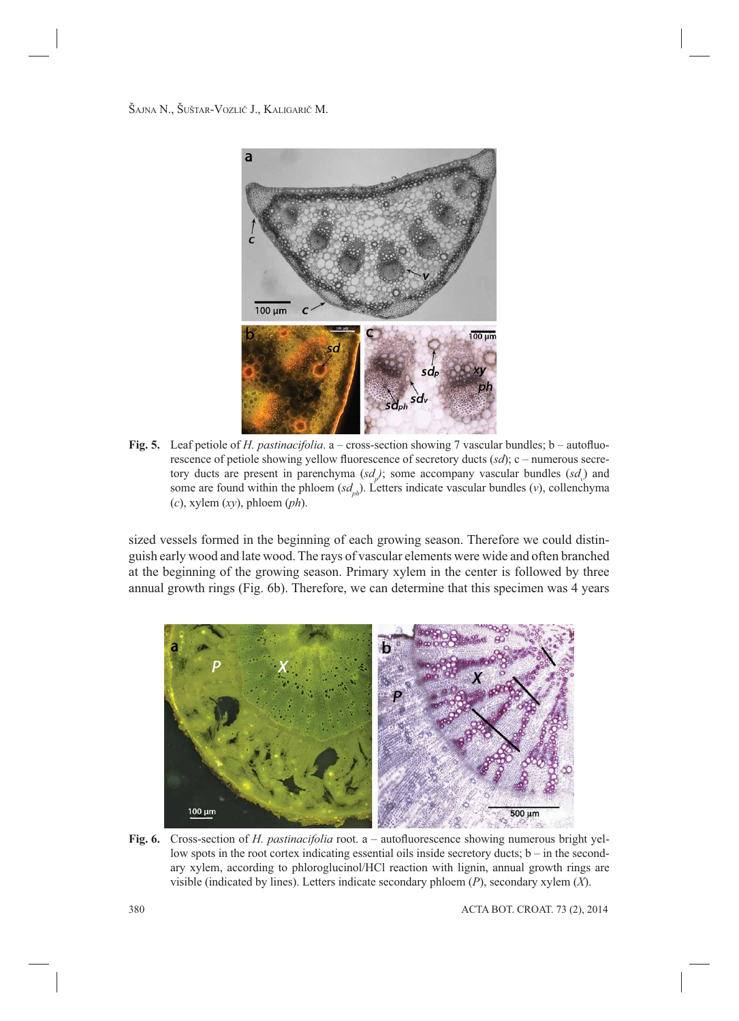

**Fig. 5.** Leaf petiole of *H. pastinacifolia*. a – cross-section showing 7 vascular bundles; b – autofluorescence of petiole showing yellow fluorescence of secretory ducts (*sd*); c – numerous secretory ducts are present in parenchyma  $(sd<sub>p</sub>)$ ; some accompany vascular bundles  $(sd<sub>p</sub>)$  and some are found within the phloem  $(sd_{nk})$ . Letters indicate vascular bundles (*v*), collenchyma (*c*), xylem (*xy*), phloem (*ph*).

sized vessels formed in the beginning of each growing season. Therefore we could distinguish early wood and late wood. The rays of vascular elements were wide and often branched at the beginning of the growing season. Primary xylem in the center is followed by three annual growth rings (Fig. 6b). Therefore, we can determine that this specimen was 4 years



**Fig. 6.** Cross-section of *H. pastinacifolia* root. a – autofluorescence showing numerous bright yellow spots in the root cortex indicating essential oils inside secretory ducts;  $b - in$  the secondary xylem, according to phloroglucinol/HCl reaction with lignin, annual growth rings are visible (indicated by lines). Letters indicate secondary phloem (*P*), secondary xylem (*X*).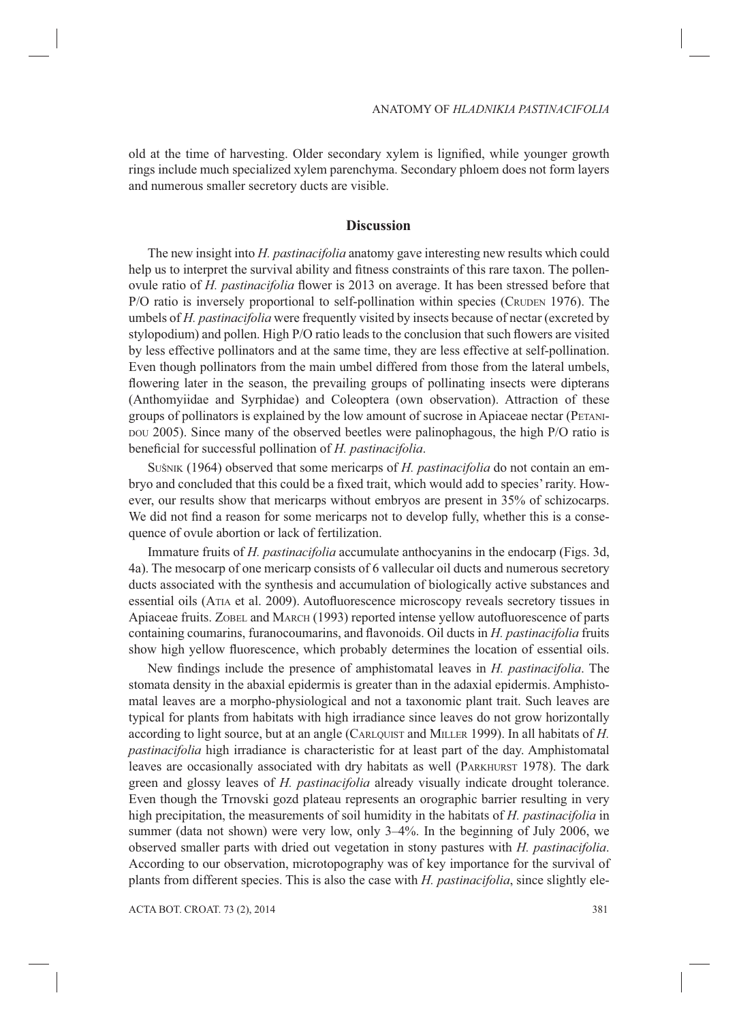old at the time of harvesting. Older secondary xylem is lignified, while younger growth rings include much specialized xylem parenchyma. Secondary phloem does not form layers and numerous smaller secretory ducts are visible.

#### **Discussion**

The new insight into *H. pastinacifolia* anatomy gave interesting new results which could help us to interpret the survival ability and fitness constraints of this rare taxon. The pollenovule ratio of *H. pastinacifolia* flower is 2013 on average. It has been stressed before that P/O ratio is inversely proportional to self-pollination within species (CRUDEN 1976). The umbels of *H. pastinacifolia* were frequently visited by insects because of nectar (excreted by stylopodium) and pollen. High P/O ratio leads to the conclusion that such flowers are visited by less effective pollinators and at the same time, they are less effective at self-pollination. Even though pollinators from the main umbel differed from those from the lateral umbels, flowering later in the season, the prevailing groups of pollinating insects were dipterans (Anthomyiidae and Syrphidae) and Coleoptera (own observation). Attraction of these groups of pollinators is explained by the low amount of sucrose in Apiaceae nectar (PETANI-DOU 2005). Since many of the observed beetles were palinophagous, the high P/O ratio is beneficial for successful pollination of *H. pastinacifolia*.

SUŠNIK (1964) observed that some mericarps of *H. pastinacifolia* do not contain an embryo and concluded that this could be a fixed trait, which would add to species' rarity. However, our results show that mericarps without embryos are present in 35% of schizocarps. We did not find a reason for some mericarps not to develop fully, whether this is a consequence of ovule abortion or lack of fertilization.

Immature fruits of *H. pastinacifolia* accumulate anthocyanins in the endocarp (Figs. 3d, 4a). The mesocarp of one mericarp consists of 6 vallecular oil ducts and numerous secretory ducts associated with the synthesis and accumulation of biologically active substances and essential oils (ATIA et al. 2009). Autofluorescence microscopy reveals secretory tissues in Apiaceae fruits. ZOBEL and MARCH (1993) reported intense yellow autofluorescence of parts containing coumarins, furanocoumarins, and flavonoids. Oil ducts in *H. pastinacifolia* fruits show high yellow fluorescence, which probably determines the location of essential oils.

New findings include the presence of amphistomatal leaves in *H. pastinacifolia*. The stomata density in the abaxial epidermis is greater than in the adaxial epidermis. Amphistomatal leaves are a morpho-physiological and not a taxonomic plant trait. Such leaves are typical for plants from habitats with high irradiance since leaves do not grow horizontally according to light source, but at an angle (CARLQUIST and MILLER 1999). In all habitats of *H. pastinacifolia* high irradiance is characteristic for at least part of the day. Amphistomatal leaves are occasionally associated with dry habitats as well (PARKHURST 1978). The dark green and glossy leaves of *H. pastinacifolia* already visually indicate drought tolerance. Even though the Trnovski gozd plateau represents an orographic barrier resulting in very high precipitation, the measurements of soil humidity in the habitats of *H. pastinacifolia* in summer (data not shown) were very low, only 3–4%. In the beginning of July 2006, we observed smaller parts with dried out vegetation in stony pastures with *H. pastinacifolia*. According to our observation, microtopography was of key importance for the survival of plants from different species. This is also the case with *H. pastinacifolia*, since slightly ele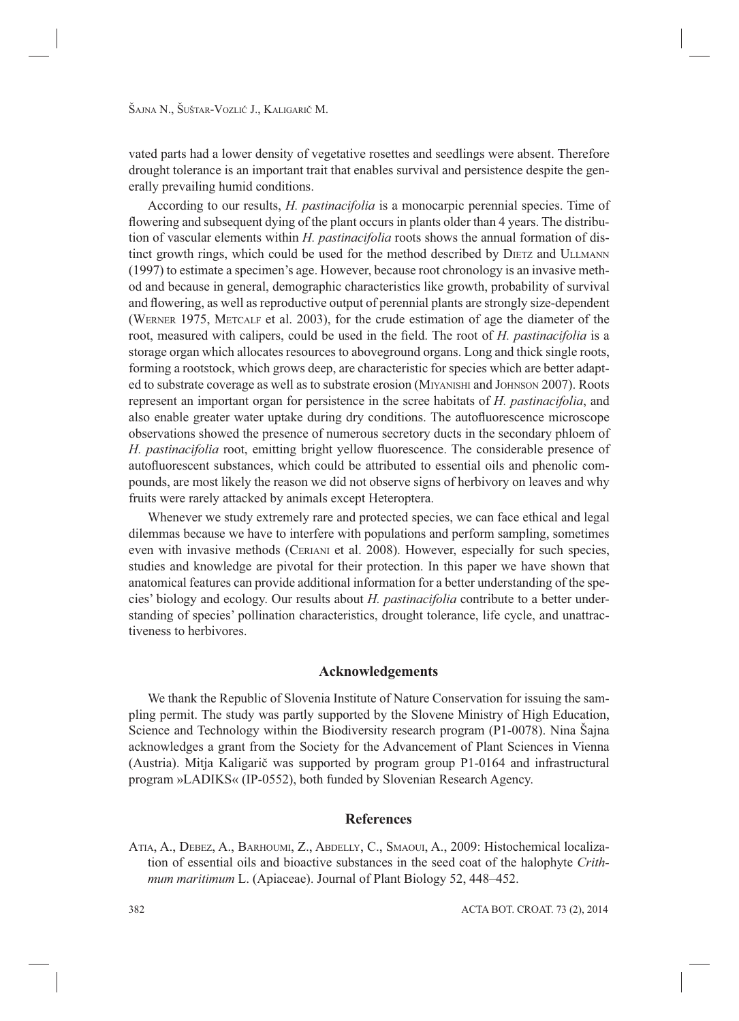vated parts had a lower density of vegetative rosettes and seedlings were absent. Therefore drought tolerance is an important trait that enables survival and persistence despite the generally prevailing humid conditions.

According to our results, *H. pastinacifolia* is a monocarpic perennial species. Time of flowering and subsequent dying of the plant occurs in plants older than 4 years. The distribution of vascular elements within *H. pastinacifolia* roots shows the annual formation of distinct growth rings, which could be used for the method described by DIETZ and ULLMANN (1997) to estimate a specimen's age. However, because root chronology is an invasive method and because in general, demographic characteristics like growth, probability of survival and flowering, as well as reproductive output of perennial plants are strongly size-dependent (WERNER 1975, METCALF et al. 2003), for the crude estimation of age the diameter of the root, measured with calipers, could be used in the field. The root of *H. pastinacifolia* is a storage organ which allocates resources to aboveground organs. Long and thick single roots, forming a rootstock, which grows deep, are characteristic for species which are better adapted to substrate coverage as well as to substrate erosion (MIYANISHI and JOHNSON 2007). Roots represent an important organ for persistence in the scree habitats of *H. pastinacifolia*, and also enable greater water uptake during dry conditions. The autofluorescence microscope observations showed the presence of numerous secretory ducts in the secondary phloem of *H. pastinacifolia* root, emitting bright yellow fluorescence. The considerable presence of autofluorescent substances, which could be attributed to essential oils and phenolic compounds, are most likely the reason we did not observe signs of herbivory on leaves and why fruits were rarely attacked by animals except Heteroptera.

Whenever we study extremely rare and protected species, we can face ethical and legal dilemmas because we have to interfere with populations and perform sampling, sometimes even with invasive methods (CERIANI et al. 2008). However, especially for such species, studies and knowledge are pivotal for their protection. In this paper we have shown that anatomical features can provide additional information for a better understanding of the species' biology and ecology. Our results about *H. pastinacifolia* contribute to a better understanding of species' pollination characteristics, drought tolerance, life cycle, and unattractiveness to herbivores.

## **Acknowledgements**

We thank the Republic of Slovenia Institute of Nature Conservation for issuing the sampling permit. The study was partly supported by the Slovene Ministry of High Education, Science and Technology within the Biodiversity research program (P1-0078). Nina Šajna acknowledges a grant from the Society for the Advancement of Plant Sciences in Vienna (Austria). Mitja Kaligarič was supported by program group P1-0164 and infrastructural program »LADIKS« (IP-0552), both funded by Slovenian Research Agency.

#### **References**

ATIA, A., DEBEZ, A., BARHOUMI, Z., ABDELLY, C., SMAOUI, A., 2009: Histochemical localization of essential oils and bioactive substances in the seed coat of the halophyte *Crithmum maritimum* L. (Apiaceae). Journal of Plant Biology 52, 448–452.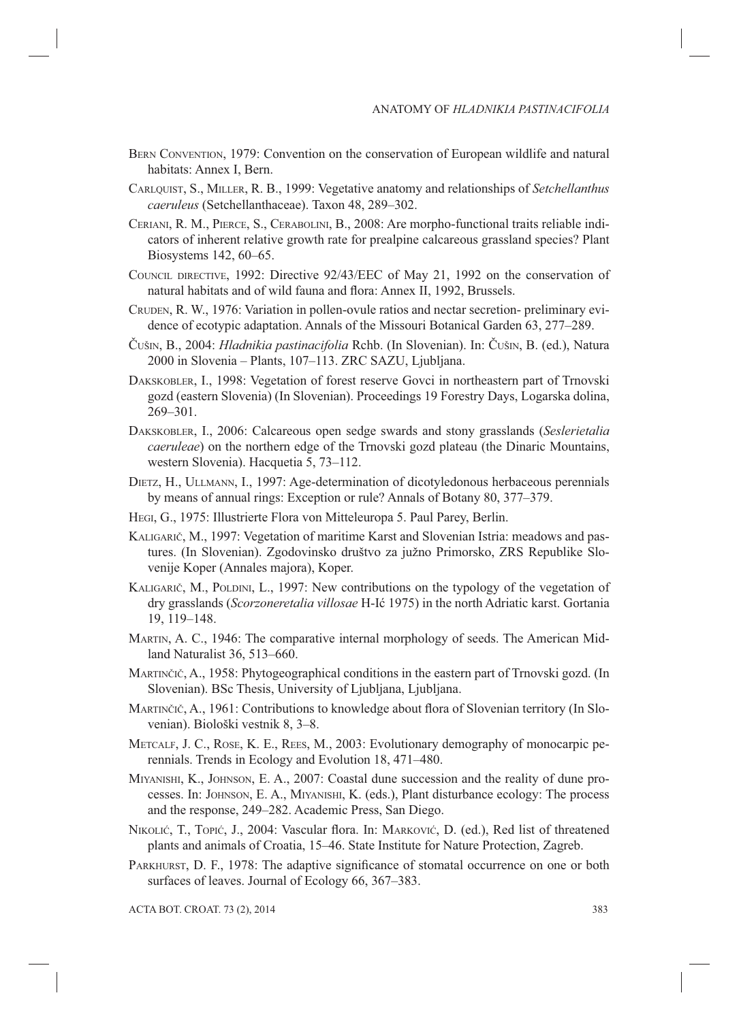- BERN CONVENTION, 1979: Convention on the conservation of European wildlife and natural habitats: Annex I, Bern.
- CARLQUIST, S., MILLER, R. B., 1999: Vegetative anatomy and relationships of *Setchellanthus caeruleus* (Setchellanthaceae). Taxon 48, 289–302.
- CERIANI, R. M., PIERCE, S., CERABOLINI, B., 2008: Are morpho-functional traits reliable indicators of inherent relative growth rate for prealpine calcareous grassland species? Plant Biosystems 142, 60–65.
- COUNCIL DIRECTIVE, 1992: Directive 92/43/EEC of May 21, 1992 on the conservation of natural habitats and of wild fauna and flora: Annex II, 1992, Brussels.
- CRUDEN, R. W., 1976: Variation in pollen-ovule ratios and nectar secretion- preliminary evidence of ecotypic adaptation. Annals of the Missouri Botanical Garden 63, 277–289.
- ČUŠIN, B., 2004: *Hladnikia pastinacifolia* Rchb. (In Slovenian). In: ČUŠIN, B. (ed.), Natura 2000 in Slovenia – Plants, 107–113. ZRC SAZU, Ljubljana.
- DAKSKOBLER, I., 1998: Vegetation of forest reserve Govci in northeastern part of Trnovski gozd (eastern Slovenia) (In Slovenian). Proceedings 19 Forestry Days, Logarska dolina, 269–301.
- DAKSKOBLER, I., 2006: Calcareous open sedge swards and stony grasslands (*Seslerietalia caeruleae*) on the northern edge of the Trnovski gozd plateau (the Dinaric Mountains, western Slovenia). Hacquetia 5, 73–112.
- DIETZ, H., ULLMANN, I., 1997: Age-determination of dicotyledonous herbaceous perennials by means of annual rings: Exception or rule? Annals of Botany 80, 377–379.
- HEGI, G., 1975: Illustrierte Flora von Mitteleuropa 5. Paul Parey, Berlin.
- KALIGARIČ, M., 1997: Vegetation of maritime Karst and Slovenian Istria: meadows and pastures. (In Slovenian). Zgodovinsko društvo za južno Primorsko, ZRS Republike Slovenije Koper (Annales majora), Koper.
- KALIGARIČ, M., POLDINI, L., 1997: New contributions on the typology of the vegetation of dry grasslands (*Scorzoneretalia villosae* H-Ić 1975) in the north Adriatic karst. Gortania 19, 119–148.
- MARTIN, A. C., 1946: The comparative internal morphology of seeds. The American Midland Naturalist 36, 513–660.
- MARTINČIČ, A., 1958: Phytogeographical conditions in the eastern part of Trnovski gozd. (In Slovenian). BSc Thesis, University of Ljubljana, Ljubljana.
- MARTINČIČ, A., 1961: Contributions to knowledge about flora of Slovenian territory (In Slovenian). Biološki vestnik 8, 3–8.
- METCALF, J. C., ROSE, K. E., REES, M., 2003: Evolutionary demography of monocarpic perennials. Trends in Ecology and Evolution 18, 471–480.
- MIYANISHI, K., JOHNSON, E. A., 2007: Coastal dune succession and the reality of dune processes. In: JOHNSON, E. A., MIYANISHI, K. (eds.), Plant disturbance ecology: The process and the response, 249–282. Academic Press, San Diego.
- NIKOLIĆ, T., TOPIĆ, J., 2004: Vascular flora. In: MARKOVIĆ, D. (ed.), Red list of threatened plants and animals of Croatia, 15–46. State Institute for Nature Protection, Zagreb.
- PARKHURST, D. F., 1978: The adaptive significance of stomatal occurrence on one or both surfaces of leaves. Journal of Ecology 66, 367–383.